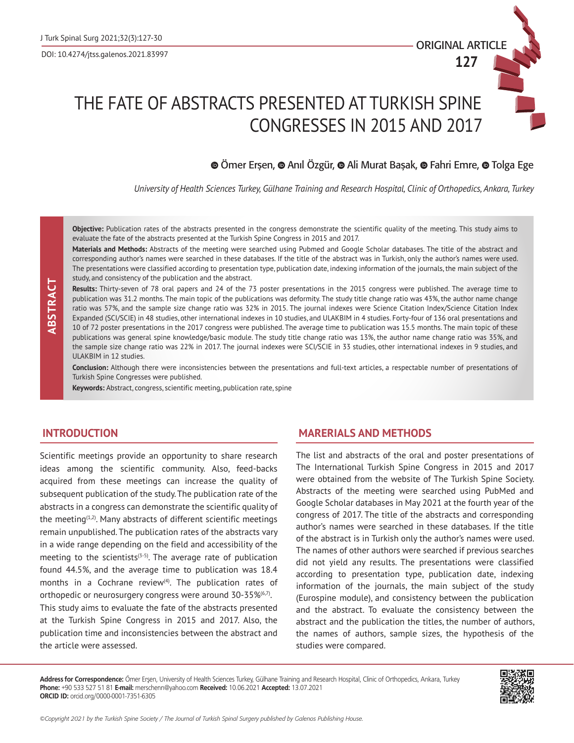

**127**

# THE FATE OF ABSTRACTS PRESENTED AT TURKISH SPINE CONGRESSES IN 2015 AND 2017

# $\odot$ Ömer Erşen,  $\odot$  Anıl Özgür,  $\odot$  Ali Murat Başak,  $\odot$  Fahri Emre,  $\odot$  Tolga Ege

*University of Health Sciences Turkey, Gülhane Training and Research Hospital, Clinic of Orthopedics, Ankara, Turkey*

**Objective:** Publication rates of the abstracts presented in the congress demonstrate the scientific quality of the meeting. This study aims to evaluate the fate of the abstracts presented at the Turkish Spine Congress in 2015 and 2017.

**Materials and Methods:** Abstracts of the meeting were searched using Pubmed and Google Scholar databases. The title of the abstract and corresponding author's names were searched in these databases. If the title of the abstract was in Turkish, only the author's names were used. The presentations were classified according to presentation type, publication date, indexing information of the journals, the main subject of the study, and consistency of the publication and the abstract.

**Results:** Thirty-seven of 78 oral papers and 24 of the 73 poster presentations in the 2015 congress were published. The average time to publication was 31.2 months. The main topic of the publications was deformity. The study title change ratio was 43%, the author name change ratio was 57%, and the sample size change ratio was 32% in 2015. The journal indexes were Science Citation Index/Science Citation Index Expanded (SCI/SCIE) in 48 studies, other international indexes in 10 studies, and ULAKBIM in 4 studies. Forty-four of 136 oral presentations and 10 of 72 poster presentations in the 2017 congress were published. The average time to publication was 15.5 months. The main topic of these publications was general spine knowledge/basic module. The study title change ratio was 13%, the author name change ratio was 35%, and the sample size change ratio was 22% in 2017. The journal indexes were SCI/SCIE in 33 studies, other international indexes in 9 studies, and ULAKBIM in 12 studies.

**Conclusion:** Although there were inconsistencies between the presentations and full-text articles, a respectable number of presentations of Turkish Spine Congresses were published.

**Keywords:** Abstract, congress, scientific meeting, publication rate, spine

## **INTRODUCTION**

Scientific meetings provide an opportunity to share research ideas among the scientific community. Also, feed-backs acquired from these meetings can increase the quality of subsequent publication of the study. The publication rate of the abstracts in a congress can demonstrate the scientific quality of the meeting<sup>(1,2)</sup>. Many abstracts of different scientific meetings remain unpublished. The publication rates of the abstracts vary in a wide range depending on the field and accessibility of the meeting to the scientists<sup>( $3-5$ </sup>). The average rate of publication found 44.5%, and the average time to publication was 18.4 months in a Cochrane review<sup>(4)</sup>. The publication rates of orthopedic or neurosurgery congress were around 30-35%<sup>(6,7)</sup>. This study aims to evaluate the fate of the abstracts presented at the Turkish Spine Congress in 2015 and 2017. Also, the publication time and inconsistencies between the abstract and the article were assessed.

## **MARERIALS AND METHODS**

The list and abstracts of the oral and poster presentations of The International Turkish Spine Congress in 2015 and 2017 were obtained from the website of The Turkish Spine Society. Abstracts of the meeting were searched using PubMed and Google Scholar databases in May 2021 at the fourth year of the congress of 2017. The title of the abstracts and corresponding author's names were searched in these databases. If the title of the abstract is in Turkish only the author's names were used. The names of other authors were searched if previous searches did not yield any results. The presentations were classified according to presentation type, publication date, indexing information of the journals, the main subject of the study (Eurospine module), and consistency between the publication and the abstract. To evaluate the consistency between the abstract and the publication the titles, the number of authors, the names of authors, sample sizes, the hypothesis of the studies were compared.

**Address for Correspondence:** Ömer Erşen, University of Health Sciences Turkey, Gülhane Training and Research Hospital, Clinic of Orthopedics, Ankara, Turkey **Phone:** +90 533 527 51 81 **E-mail:** merschenn@yahoo.com **Received:** 10.06.2021 **Accepted:** 13.07.2021 **ORCID ID:** orcid.org/0000-0001-7351-6305



*©Copyright 2021 by the Turkish Spine Society / The Journal of Turkish Spinal Surgery published by Galenos Publishing House.*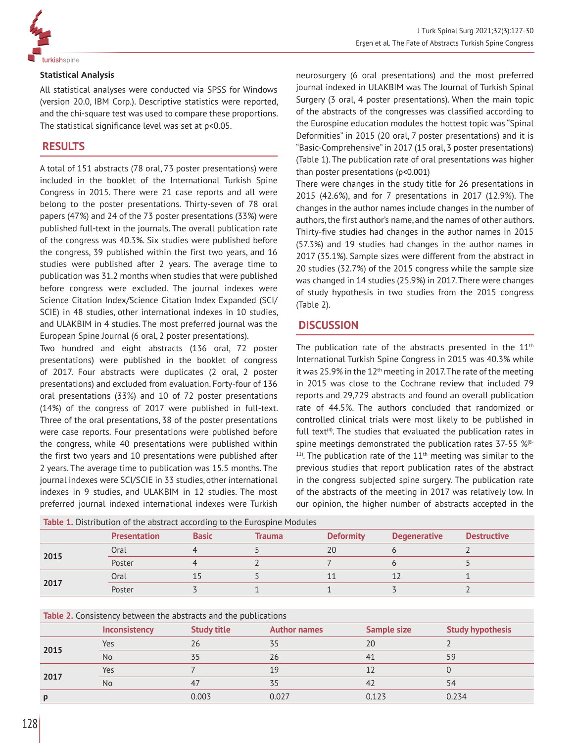

## **Statistical Analysis**

All statistical analyses were conducted via SPSS for Windows (version 20.0, IBM Corp.). Descriptive statistics were reported, and the chi-square test was used to compare these proportions. The statistical significance level was set at p<0.05.

# **RESULTS**

A total of 151 abstracts (78 oral, 73 poster presentations) were included in the booklet of the International Turkish Spine Congress in 2015. There were 21 case reports and all were belong to the poster presentations. Thirty-seven of 78 oral papers (47%) and 24 of the 73 poster presentations (33%) were published full-text in the journals. The overall publication rate of the congress was 40.3%. Six studies were published before the congress, 39 published within the first two years, and 16 studies were published after 2 years. The average time to publication was 31.2 months when studies that were published before congress were excluded. The journal indexes were Science Citation Index/Science Citation Index Expanded (SCI/ SCIE) in 48 studies, other international indexes in 10 studies, and ULAKBIM in 4 studies. The most preferred journal was the European Spine Journal (6 oral, 2 poster presentations).

Two hundred and eight abstracts (136 oral, 72 poster presentations) were published in the booklet of congress of 2017. Four abstracts were duplicates (2 oral, 2 poster presentations) and excluded from evaluation. Forty-four of 136 oral presentations (33%) and 10 of 72 poster presentations (14%) of the congress of 2017 were published in full-text. Three of the oral presentations, 38 of the poster presentations were case reports. Four presentations were published before the congress, while 40 presentations were published within the first two years and 10 presentations were published after 2 years. The average time to publication was 15.5 months. The journal indexes were SCI/SCIE in 33 studies, other international indexes in 9 studies, and ULAKBIM in 12 studies. The most preferred journal indexed international indexes were Turkish neurosurgery (6 oral presentations) and the most preferred journal indexed in ULAKBIM was The Journal of Turkish Spinal Surgery (3 oral, 4 poster presentations). When the main topic of the abstracts of the congresses was classified according to the Eurospine education modules the hottest topic was "Spinal Deformities" in 2015 (20 oral, 7 poster presentations) and it is "Basic-Comprehensive" in 2017 (15 oral, 3 poster presentations) (Table 1). The publication rate of oral presentations was higher than poster presentations (p<0.001)

There were changes in the study title for 26 presentations in 2015 (42.6%), and for 7 presentations in 2017 (12.9%). The changes in the author names include changes in the number of authors, the first author's name, and the names of other authors. Thirty-five studies had changes in the author names in 2015 (57.3%) and 19 studies had changes in the author names in 2017 (35.1%). Sample sizes were different from the abstract in 20 studies (32.7%) of the 2015 congress while the sample size was changed in 14 studies (25.9%) in 2017. There were changes of study hypothesis in two studies from the 2015 congress (Table 2).

# **DISCUSSION**

The publication rate of the abstracts presented in the  $11<sup>th</sup>$ International Turkish Spine Congress in 2015 was 40.3% while it was 25.9% in the  $12<sup>th</sup>$  meeting in 2017. The rate of the meeting in 2015 was close to the Cochrane review that included 79 reports and 29,729 abstracts and found an overall publication rate of 44.5%. The authors concluded that randomized or controlled clinical trials were most likely to be published in full text $(4)$ . The studies that evaluated the publication rates in spine meetings demonstrated the publication rates 37-55 %<sup>(8-</sup>  $11$ <sup>11</sup>). The publication rate of the  $11<sup>th</sup>$  meeting was similar to the previous studies that report publication rates of the abstract in the congress subjected spine surgery. The publication rate of the abstracts of the meeting in 2017 was relatively low. In our opinion, the higher number of abstracts accepted in the

| Table 1. Distribution of the abstract according to the Eurospine Modules |                     |              |        |                  |                     |                    |  |  |  |
|--------------------------------------------------------------------------|---------------------|--------------|--------|------------------|---------------------|--------------------|--|--|--|
|                                                                          | <b>Presentation</b> | <b>Basic</b> | Trauma | <b>Deformity</b> | <b>Degenerative</b> | <b>Destructive</b> |  |  |  |
| 2015                                                                     | Oral                |              |        | 20               |                     |                    |  |  |  |
|                                                                          | Poster              |              |        |                  |                     |                    |  |  |  |
| 2017                                                                     | Oral                |              |        |                  |                     |                    |  |  |  |
|                                                                          | Poster              |              |        |                  |                     |                    |  |  |  |

| <b>Table 2.</b> Consistency between the abstracts and the publications |  |
|------------------------------------------------------------------------|--|
|------------------------------------------------------------------------|--|

|      | Inconsistency | <b>Study title</b> | <b>Author names</b> | <b>Sample size</b> | <b>Study hypothesis</b> |  |  |  |
|------|---------------|--------------------|---------------------|--------------------|-------------------------|--|--|--|
| 2015 | $Yes$         | 26                 | 35                  | 20                 |                         |  |  |  |
|      | <b>No</b>     |                    | 26                  | 41                 | 59                      |  |  |  |
| 2017 | Yes           |                    | 19                  |                    |                         |  |  |  |
|      | <b>No</b>     | 47                 | 35                  | 42                 | 54                      |  |  |  |
| D    |               | 0.003              | 0.027               | 0.123              | 0.234                   |  |  |  |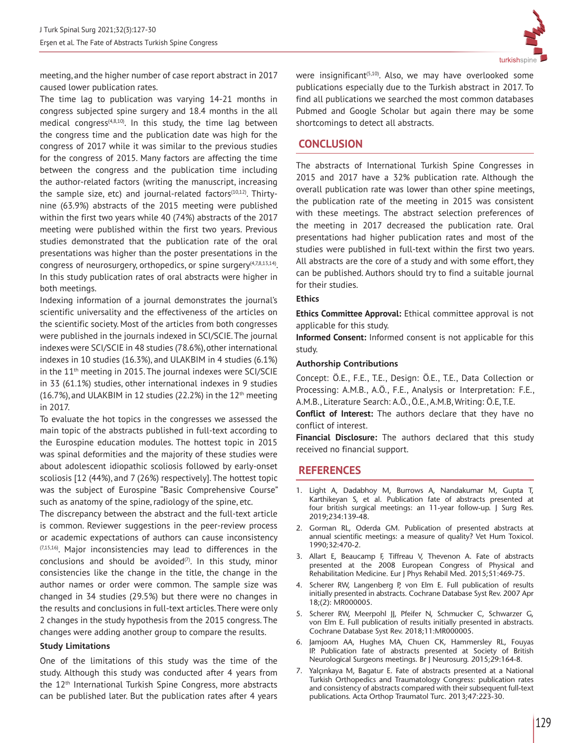

meeting, and the higher number of case report abstract in 2017 caused lower publication rates.

The time lag to publication was varying 14-21 months in congress subjected spine surgery and 18.4 months in the all medical congress<sup>(4,8,10)</sup>. In this study, the time lag between the congress time and the publication date was high for the congress of 2017 while it was similar to the previous studies for the congress of 2015. Many factors are affecting the time between the congress and the publication time including the author-related factors (writing the manuscript, increasing the sample size, etc) and journal-related factors<sup>(10,12)</sup>. Thirtynine (63.9%) abstracts of the 2015 meeting were published within the first two years while 40 (74%) abstracts of the 2017 meeting were published within the first two years. Previous studies demonstrated that the publication rate of the oral presentations was higher than the poster presentations in the congress of neurosurgery, orthopedics, or spine surgery $(4,7,8,13,14)$ . In this study publication rates of oral abstracts were higher in both meetings.

Indexing information of a journal demonstrates the journal's scientific universality and the effectiveness of the articles on the scientific society. Most of the articles from both congresses were published in the journals indexed in SCI/SCIE. The journal indexes were SCI/SCIE in 48 studies (78.6%), other international indexes in 10 studies (16.3%), and ULAKBIM in 4 studies (6.1%) in the 11<sup>th</sup> meeting in 2015. The journal indexes were SCI/SCIE in 33 (61.1%) studies, other international indexes in 9 studies  $(16.7%)$ , and ULAKBIM in 12 studies (22.2%) in the 12<sup>th</sup> meeting in 2017.

To evaluate the hot topics in the congresses we assessed the main topic of the abstracts published in full-text according to the Eurospine education modules. The hottest topic in 2015 was spinal deformities and the majority of these studies were about adolescent idiopathic scoliosis followed by early-onset scoliosis [12 (44%), and 7 (26%) respectively]. The hottest topic was the subject of Eurospine "Basic Comprehensive Course" such as anatomy of the spine, radiology of the spine, etc.

The discrepancy between the abstract and the full-text article is common. Reviewer suggestions in the peer-review process or academic expectations of authors can cause inconsistency  $(7,15,16)$ . Major inconsistencies may lead to differences in the conclusions and should be avoided $(7)$ . In this study, minor consistencies like the change in the title, the change in the author names or order were common. The sample size was changed in 34 studies (29.5%) but there were no changes in the results and conclusions in full-text articles. There were only 2 changes in the study hypothesis from the 2015 congress. The changes were adding another group to compare the results.

#### **Study Limitations**

One of the limitations of this study was the time of the study. Although this study was conducted after 4 years from the 12<sup>th</sup> International Turkish Spine Congress, more abstracts can be published later. But the publication rates after 4 years were insignificant<sup>(5,10)</sup>. Also, we may have overlooked some publications especially due to the Turkish abstract in 2017. To find all publications we searched the most common databases Pubmed and Google Scholar but again there may be some shortcomings to detect all abstracts.

## **CONCLUSION**

The abstracts of International Turkish Spine Congresses in 2015 and 2017 have a 32% publication rate. Although the overall publication rate was lower than other spine meetings, the publication rate of the meeting in 2015 was consistent with these meetings. The abstract selection preferences of the meeting in 2017 decreased the publication rate. Oral presentations had higher publication rates and most of the studies were published in full-text within the first two years. All abstracts are the core of a study and with some effort, they can be published. Authors should try to find a suitable journal for their studies.

#### **Ethics**

**Ethics Committee Approval:** Ethical committee approval is not applicable for this study.

**Informed Consent:** Informed consent is not applicable for this study.

#### **Authorship Contributions**

Concept: Ö.E., F.E., T.E., Design: Ö.E., T.E., Data Collection or Processing: A.M.B., A.Ö., F.E., Analysis or Interpretation: F.E., A.M.B., Literature Search: A.Ö., Ö.E., A.M.B, Writing: Ö.E, T.E.

**Conflict of Interest:** The authors declare that they have no conflict of interest.

**Financial Disclosure:** The authors declared that this study received no financial support.

## **REFERENCES**

- 1. Light A, Dadabhoy M, Burrows A, Nandakumar M, Gupta T, Karthikeyan S, et al. Publication fate of abstracts presented at four british surgical meetings: an 11-year follow-up. J Surg Res. 2019;234:139-48.
- 2. Gorman RL, Oderda GM. Publication of presented abstracts at annual scientific meetings: a measure of quality? Vet Hum Toxicol. 1990;32:470-2.
- 3. Allart E, Beaucamp F, Tiffreau V, Thevenon A. Fate of abstracts presented at the 2008 European Congress of Physical and Rehabilitation Medicine. Eur J Phys Rehabil Med. 2015;51:469-75.
- 4. Scherer RW, Langenberg P, von Elm E. Full publication of results initially presented in abstracts. Cochrane Database Syst Rev. 2007 Apr 18;(2): MR000005.
- 5. Scherer RW, Meerpohl JJ, Pfeifer N, Schmucker C, Schwarzer G, von Elm E. Full publication of results initially presented in abstracts. Cochrane Database Syst Rev. 2018;11:MR000005.
- 6. Jamjoom AA, Hughes MA, Chuen CK, Hammersley RL, Fouyas IP. Publication fate of abstracts presented at Society of British Neurological Surgeons meetings. Br J Neurosurg. 2015;29:164-8.
- 7. Yalçınkaya M, Bagatur E. Fate of abstracts presented at a National Turkish Orthopedics and Traumatology Congress: publication rates and consistency of abstracts compared with their subsequent full-text publications. Acta Orthop Traumatol Turc. 2013;47:223-30.